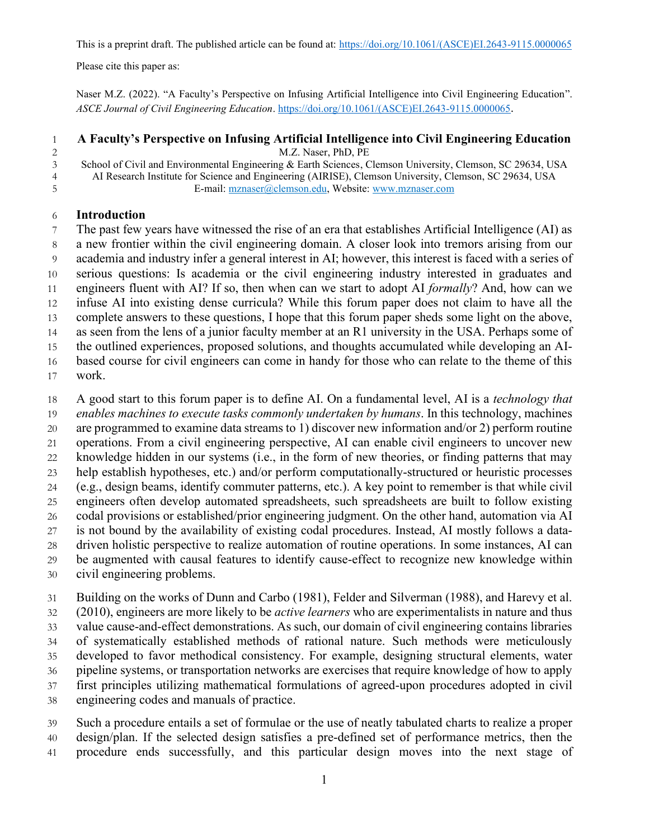This is a preprint draft. The published article can be found at: [https://doi.org/10.1061/\(ASCE\)EI.2643-9115.0000065](https://doi.org/10.1061/(ASCE)EI.2643-9115.0000065)

Please cite this paper as:

Naser M.Z. (2022). "A Faculty's Perspective on Infusing Artificial Intelligence into Civil Engineering Education". *ASCE Journal of Civil Engineering Education*. [https://doi.org/10.1061/\(ASCE\)EI.2643-9115.0000065](https://doi.org/10.1061/(ASCE)EI.2643-9115.0000065).

 **A Faculty's Perspective on Infusing Artificial Intelligence into Civil Engineering Education** M.Z. Naser, PhD, PE

 School of Civil and Environmental Engineering & Earth Sciences, Clemson University, Clemson, SC 29634, USA AI Research Institute for Science and Engineering (AIRISE), Clemson University, Clemson, SC 29634, USA E-mail[: mznaser@clemson.edu,](mailto:mznaser@clemson.edu) Website: [www.mznaser.com](http://www.mznaser.com/)

## **Introduction**

 The past few years have witnessed the rise of an era that establishes Artificial Intelligence (AI) as a new frontier within the civil engineering domain. A closer look into tremors arising from our academia and industry infer a general interest in AI; however, this interest is faced with a series of serious questions: Is academia or the civil engineering industry interested in graduates and engineers fluent with AI? If so, then when can we start to adopt AI *formally*? And, how can we infuse AI into existing dense curricula? While this forum paper does not claim to have all the 13 complete answers to these questions, I hope that this forum paper sheds some light on the above, as seen from the lens of a junior faculty member at an R1 university in the USA. Perhaps some of the outlined experiences, proposed solutions, and thoughts accumulated while developing an AI- based course for civil engineers can come in handy for those who can relate to the theme of this work.

A good start to this forum paper is to define AI. On a fundamental level, AI is a *technology that* 

- *enables machines to execute tasks commonly undertaken by humans*. In this technology, machines
- are programmed to examine data streams to 1) discover new information and/or 2) perform routine
- operations. From a civil engineering perspective, AI can enable civil engineers to uncover new
- knowledge hidden in our systems (i.e., in the form of new theories, or finding patterns that may help establish hypotheses, etc.) and/or perform computationally-structured or heuristic processes
- (e.g., design beams, identify commuter patterns, etc.). A key point to remember is that while civil
- engineers often develop automated spreadsheets, such spreadsheets are built to follow existing
- codal provisions or established/prior engineering judgment. On the other hand, automation via AI
- is not bound by the availability of existing codal procedures. Instead, AI mostly follows a data-driven holistic perspective to realize automation of routine operations. In some instances, AI can
- be augmented with causal features to identify cause-effect to recognize new knowledge within
- civil engineering problems.
- Building on the works of Dunn and Carbo (1981), Felder and Silverman (1988), and Harevy et al.
- (2010), engineers are more likely to be *active learners* who are experimentalists in nature and thus value cause-and-effect demonstrations. As such, our domain of civil engineering contains libraries
- of systematically established methods of rational nature. Such methods were meticulously
- developed to favor methodical consistency. For example, designing structural elements, water
- pipeline systems, or transportation networks are exercises that require knowledge of how to apply
- first principles utilizing mathematical formulations of agreed-upon procedures adopted in civil
- engineering codes and manuals of practice.
- Such a procedure entails a set of formulae or the use of neatly tabulated charts to realize a proper design/plan. If the selected design satisfies a pre-defined set of performance metrics, then the procedure ends successfully, and this particular design moves into the next stage of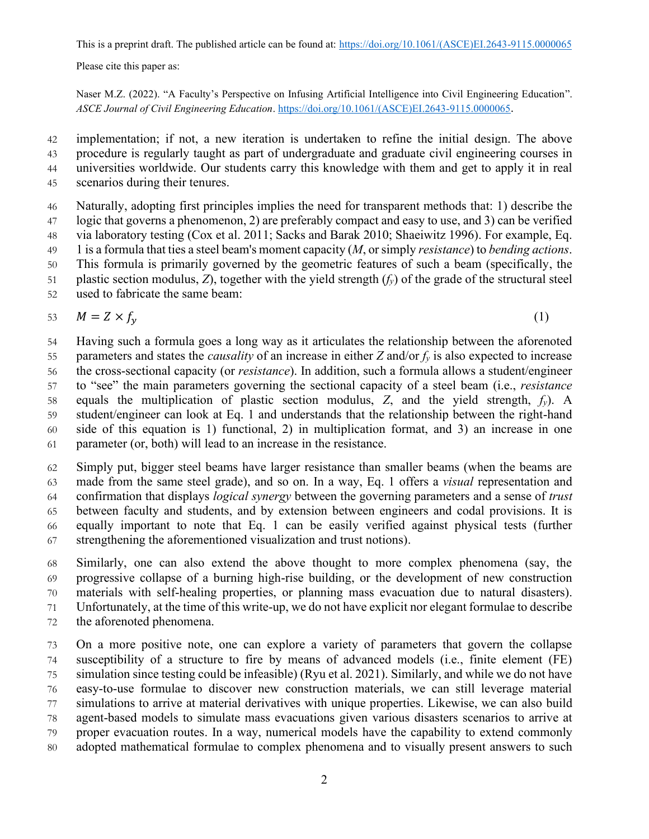Please cite this paper as:

Naser M.Z. (2022). "A Faculty's Perspective on Infusing Artificial Intelligence into Civil Engineering Education". *ASCE Journal of Civil Engineering Education*. [https://doi.org/10.1061/\(ASCE\)EI.2643-9115.0000065](https://doi.org/10.1061/(ASCE)EI.2643-9115.0000065).

 implementation; if not, a new iteration is undertaken to refine the initial design. The above procedure is regularly taught as part of undergraduate and graduate civil engineering courses in universities worldwide. Our students carry this knowledge with them and get to apply it in real scenarios during their tenures.

 Naturally, adopting first principles implies the need for transparent methods that: 1) describe the logic that governs a phenomenon, 2) are preferably compact and easy to use, and 3) can be verified via laboratory testing (Cox et al. 2011; Sacks and Barak 2010; Shaeiwitz 1996). For example, Eq. 1 is a formula that ties a steel beam's moment capacity (*M*, or simply *resistance*) to *bending actions*. This formula is primarily governed by the geometric features of such a beam (specifically, the plastic section modulus, *Z*), together with the yield strength (*fy*) of the grade of the structural steel

used to fabricate the same beam:

$$
53 \t M = Z \times f_{y} \t(1)
$$

 Having such a formula goes a long way as it articulates the relationship between the aforenoted 55 parameters and states the *causality* of an increase in either  $Z$  and/or  $f<sub>y</sub>$  is also expected to increase the cross-sectional capacity (or *resistance*). In addition, such a formula allows a student/engineer to "see" the main parameters governing the sectional capacity of a steel beam (i.e., *resistance*  equals the multiplication of plastic section modulus, *Z*, and the yield strength, *fy*). A student/engineer can look at Eq. 1 and understands that the relationship between the right-hand side of this equation is 1) functional, 2) in multiplication format, and 3) an increase in one parameter (or, both) will lead to an increase in the resistance.

 Simply put, bigger steel beams have larger resistance than smaller beams (when the beams are made from the same steel grade), and so on. In a way, Eq. 1 offers a *visual* representation and confirmation that displays *logical synergy* between the governing parameters and a sense of *trust* between faculty and students, and by extension between engineers and codal provisions. It is equally important to note that Eq. 1 can be easily verified against physical tests (further strengthening the aforementioned visualization and trust notions).

 Similarly, one can also extend the above thought to more complex phenomena (say, the progressive collapse of a burning high-rise building, or the development of new construction materials with self-healing properties, or planning mass evacuation due to natural disasters). Unfortunately, at the time of this write-up, we do not have explicit nor elegant formulae to describe the aforenoted phenomena.

 On a more positive note, one can explore a variety of parameters that govern the collapse susceptibility of a structure to fire by means of advanced models (i.e., finite element (FE) simulation since testing could be infeasible) (Ryu et al. 2021). Similarly, and while we do not have easy-to-use formulae to discover new construction materials, we can still leverage material simulations to arrive at material derivatives with unique properties. Likewise, we can also build agent-based models to simulate mass evacuations given various disasters scenarios to arrive at proper evacuation routes. In a way, numerical models have the capability to extend commonly adopted mathematical formulae to complex phenomena and to visually present answers to such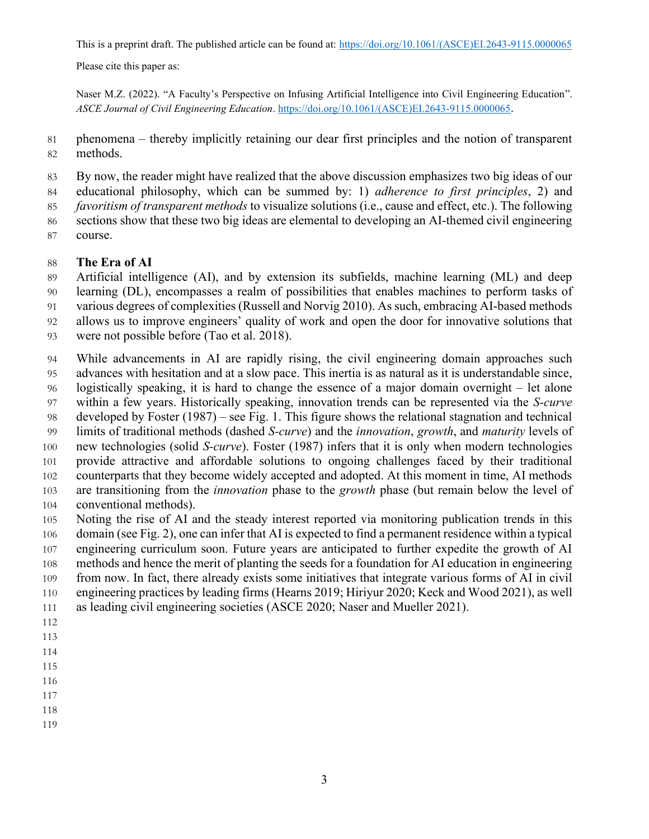Please cite this paper as:

Naser M.Z. (2022). "A Faculty's Perspective on Infusing Artificial Intelligence into Civil Engineering Education". *ASCE Journal of Civil Engineering Education*. [https://doi.org/10.1061/\(ASCE\)EI.2643-9115.0000065](https://doi.org/10.1061/(ASCE)EI.2643-9115.0000065).

 phenomena – thereby implicitly retaining our dear first principles and the notion of transparent methods.

By now, the reader might have realized that the above discussion emphasizes two big ideas of our

educational philosophy, which can be summed by: 1) *adherence to first principles*, 2) and

*favoritism of transparent methods* to visualize solutions (i.e., cause and effect, etc.). The following

sections show that these two big ideas are elemental to developing an AI-themed civil engineering

course.

#### **The Era of AI**

Artificial intelligence (AI), and by extension its subfields, machine learning (ML) and deep

learning (DL), encompasses a realm of possibilities that enables machines to perform tasks of

various degrees of complexities (Russell and Norvig 2010). As such, embracing AI-based methods

allows us to improve engineers' quality of work and open the door for innovative solutions that

were not possible before (Tao et al. 2018).

 While advancements in AI are rapidly rising, the civil engineering domain approaches such advances with hesitation and at a slow pace. This inertia is as natural as it is understandable since, logistically speaking, it is hard to change the essence of a major domain overnight – let alone within a few years. Historically speaking, innovation trends can be represented via the *S-curve*

developed by Foster (1987) – see Fig. 1. This figure shows the relational stagnation and technical

limits of traditional methods (dashed *S-curve*) and the *innovation*, *growth*, and *maturity* levels of

 new technologies (solid *S-curve*). Foster (1987) infers that it is only when modern technologies provide attractive and affordable solutions to ongoing challenges faced by their traditional counterparts that they become widely accepted and adopted. At this moment in time, AI methods are transitioning from the *innovation* phase to the *growth* phase (but remain below the level of conventional methods).

 Noting the rise of AI and the steady interest reported via monitoring publication trends in this domain (see Fig. 2), one can infer that AI is expected to find a permanent residence within a typical

engineering curriculum soon. Future years are anticipated to further expedite the growth of AI

methods and hence the merit of planting the seeds for a foundation for AI education in engineering

from now. In fact, there already exists some initiatives that integrate various forms of AI in civil

engineering practices by leading firms (Hearns 2019; Hiriyur 2020; Keck and Wood 2021), as well

as leading civil engineering societies (ASCE 2020; Naser and Mueller 2021).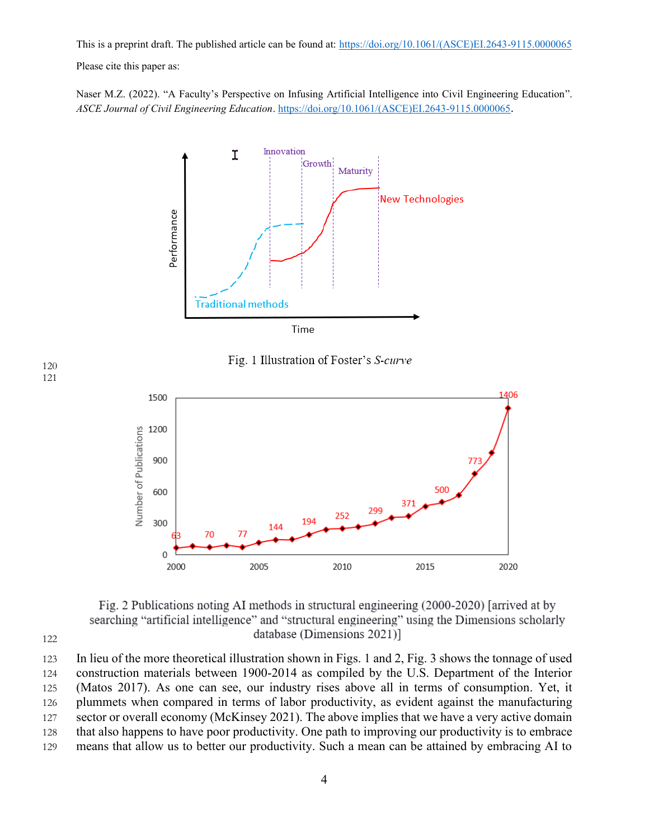Please cite this paper as:

Naser M.Z. (2022). "A Faculty's Perspective on Infusing Artificial Intelligence into Civil Engineering Education". *ASCE Journal of Civil Engineering Education*. [https://doi.org/10.1061/\(ASCE\)EI.2643-9115.0000065](https://doi.org/10.1061/(ASCE)EI.2643-9115.0000065).



Fig. 1 Illustration of Foster's S-curve



Fig. 2 Publications noting AI methods in structural engineering (2000-2020) [arrived at by searching "artificial intelligence" and "structural engineering" using the Dimensions scholarly database (Dimensions 2021)]

122

 In lieu of the more theoretical illustration shown in Figs. 1 and 2, Fig. 3 shows the tonnage of used construction materials between 1900-2014 as compiled by the U.S. Department of the Interior (Matos 2017). As one can see, our industry rises above all in terms of consumption. Yet, it plummets when compared in terms of labor productivity, as evident against the manufacturing 127 sector or overall economy (McKinsey 2021). The above implies that we have a very active domain that also happens to have poor productivity. One path to improving our productivity is to embrace means that allow us to better our productivity. Such a mean can be attained by embracing AI to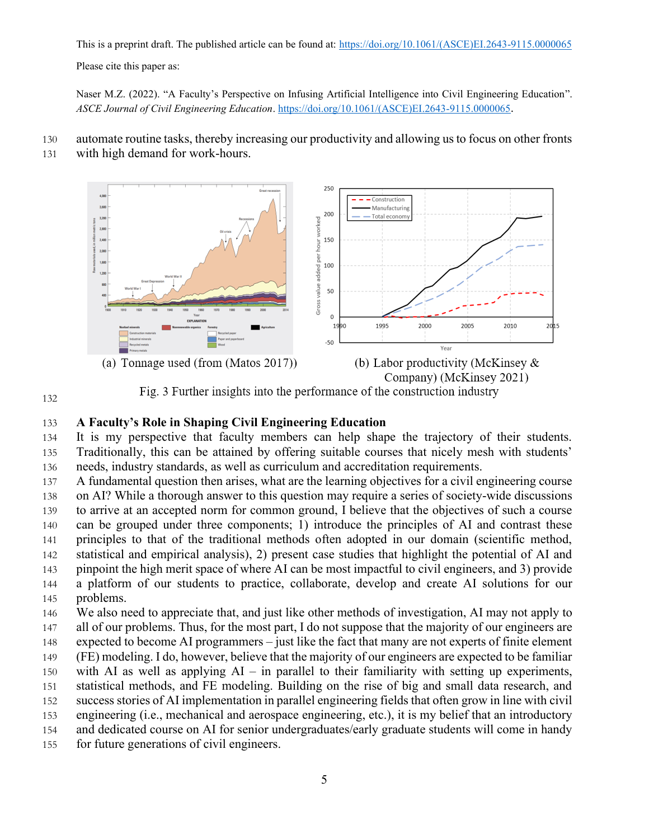Please cite this paper as:

Naser M.Z. (2022). "A Faculty's Perspective on Infusing Artificial Intelligence into Civil Engineering Education". *ASCE Journal of Civil Engineering Education*. [https://doi.org/10.1061/\(ASCE\)EI.2643-9115.0000065](https://doi.org/10.1061/(ASCE)EI.2643-9115.0000065).

- automate routine tasks, thereby increasing our productivity and allowing us to focus on other fronts
- with high demand for work-hours.



**A Faculty's Role in Shaping Civil Engineering Education** 

 It is my perspective that faculty members can help shape the trajectory of their students. Traditionally, this can be attained by offering suitable courses that nicely mesh with students' needs, industry standards, as well as curriculum and accreditation requirements.

A fundamental question then arises, what are the learning objectives for a civil engineering course

on AI? While a thorough answer to this question may require a series of society-wide discussions

to arrive at an accepted norm for common ground, I believe that the objectives of such a course

can be grouped under three components; 1) introduce the principles of AI and contrast these

 principles to that of the traditional methods often adopted in our domain (scientific method, statistical and empirical analysis), 2) present case studies that highlight the potential of AI and

pinpoint the high merit space of where AI can be most impactful to civil engineers, and 3) provide

 a platform of our students to practice, collaborate, develop and create AI solutions for our problems.

 We also need to appreciate that, and just like other methods of investigation, AI may not apply to 147 all of our problems. Thus, for the most part, I do not suppose that the majority of our engineers are

expected to become AI programmers – just like the fact that many are not experts of finite element

(FE) modeling. I do, however, believe that the majority of our engineers are expected to be familiar

 with AI as well as applying AI – in parallel to their familiarity with setting up experiments, statistical methods, and FE modeling. Building on the rise of big and small data research, and

- success stories of AI implementation in parallel engineering fields that often grow in line with civil
- engineering (i.e., mechanical and aerospace engineering, etc.), it is my belief that an introductory
- and dedicated course on AI for senior undergraduates/early graduate students will come in handy
- for future generations of civil engineers.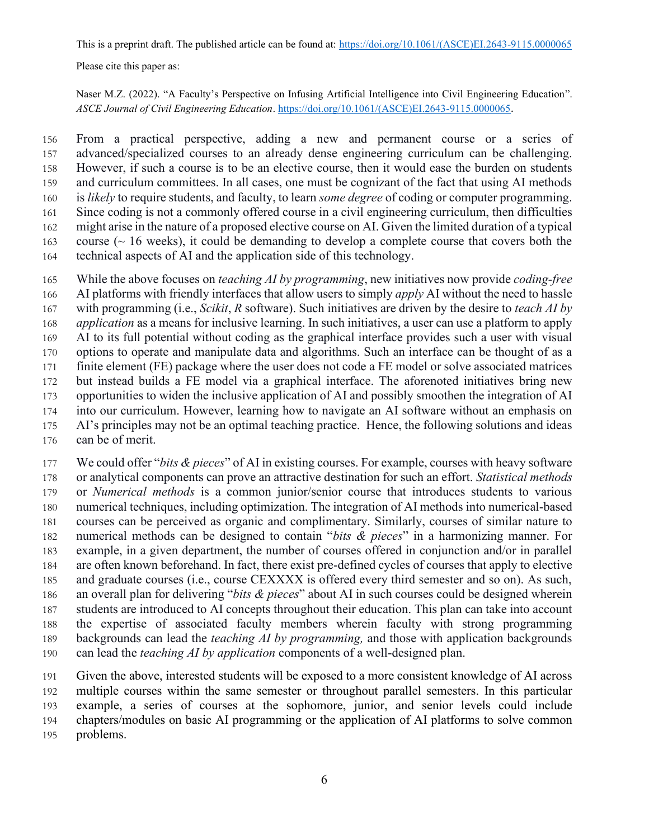Please cite this paper as:

Naser M.Z. (2022). "A Faculty's Perspective on Infusing Artificial Intelligence into Civil Engineering Education". *ASCE Journal of Civil Engineering Education*. [https://doi.org/10.1061/\(ASCE\)EI.2643-9115.0000065](https://doi.org/10.1061/(ASCE)EI.2643-9115.0000065).

 From a practical perspective, adding a new and permanent course or a series of advanced/specialized courses to an already dense engineering curriculum can be challenging. However, if such a course is to be an elective course, then it would ease the burden on students and curriculum committees. In all cases, one must be cognizant of the fact that using AI methods is *likely* to require students, and faculty, to learn *some degree* of coding or computer programming. Since coding is not a commonly offered course in a civil engineering curriculum, then difficulties might arise in the nature of a proposed elective course on AI. Given the limited duration of a typical 163 course ( $\sim$  16 weeks), it could be demanding to develop a complete course that covers both the technical aspects of AI and the application side of this technology.

 While the above focuses on *teaching AI by programming*, new initiatives now provide *coding-free* AI platforms with friendly interfaces that allow users to simply *apply* AI without the need to hassle with programming (i.e., *Scikit*, *R* software). Such initiatives are driven by the desire to *teach AI by application* as a means for inclusive learning. In such initiatives, a user can use a platform to apply AI to its full potential without coding as the graphical interface provides such a user with visual options to operate and manipulate data and algorithms. Such an interface can be thought of as a finite element (FE) package where the user does not code a FE model or solve associated matrices but instead builds a FE model via a graphical interface. The aforenoted initiatives bring new opportunities to widen the inclusive application of AI and possibly smoothen the integration of AI into our curriculum. However, learning how to navigate an AI software without an emphasis on AI's principles may not be an optimal teaching practice. Hence, the following solutions and ideas can be of merit.

 We could offer "*bits & pieces*" of AI in existing courses. For example, courses with heavy software or analytical components can prove an attractive destination for such an effort. *Statistical methods* or *Numerical methods* is a common junior/senior course that introduces students to various numerical techniques, including optimization. The integration of AI methods into numerical-based courses can be perceived as organic and complimentary. Similarly, courses of similar nature to numerical methods can be designed to contain "*bits & pieces*" in a harmonizing manner. For example, in a given department, the number of courses offered in conjunction and/or in parallel are often known beforehand. In fact, there exist pre-defined cycles of courses that apply to elective and graduate courses (i.e., course CEXXXX is offered every third semester and so on). As such, an overall plan for delivering "*bits & pieces*" about AI in such courses could be designed wherein students are introduced to AI concepts throughout their education. This plan can take into account the expertise of associated faculty members wherein faculty with strong programming backgrounds can lead the *teaching AI by programming,* and those with application backgrounds can lead the *teaching AI by application* components of a well-designed plan.

 Given the above, interested students will be exposed to a more consistent knowledge of AI across multiple courses within the same semester or throughout parallel semesters. In this particular example, a series of courses at the sophomore, junior, and senior levels could include chapters/modules on basic AI programming or the application of AI platforms to solve common problems.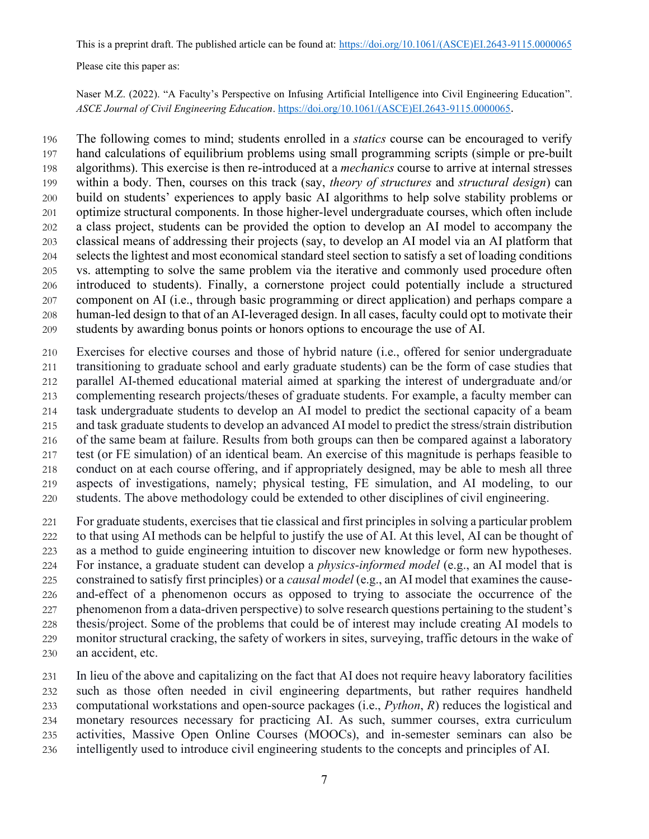Please cite this paper as:

Naser M.Z. (2022). "A Faculty's Perspective on Infusing Artificial Intelligence into Civil Engineering Education". *ASCE Journal of Civil Engineering Education*. [https://doi.org/10.1061/\(ASCE\)EI.2643-9115.0000065](https://doi.org/10.1061/(ASCE)EI.2643-9115.0000065).

 The following comes to mind; students enrolled in a *statics* course can be encouraged to verify hand calculations of equilibrium problems using small programming scripts (simple or pre-built algorithms). This exercise is then re-introduced at a *mechanics* course to arrive at internal stresses within a body. Then, courses on this track (say, *theory of structures* and *structural design*) can build on students' experiences to apply basic AI algorithms to help solve stability problems or optimize structural components. In those higher-level undergraduate courses, which often include a class project, students can be provided the option to develop an AI model to accompany the classical means of addressing their projects (say, to develop an AI model via an AI platform that selects the lightest and most economical standard steel section to satisfy a set of loading conditions vs. attempting to solve the same problem via the iterative and commonly used procedure often introduced to students). Finally, a cornerstone project could potentially include a structured component on AI (i.e., through basic programming or direct application) and perhaps compare a human-led design to that of an AI-leveraged design. In all cases, faculty could opt to motivate their students by awarding bonus points or honors options to encourage the use of AI.

 Exercises for elective courses and those of hybrid nature (i.e., offered for senior undergraduate transitioning to graduate school and early graduate students) can be the form of case studies that parallel AI-themed educational material aimed at sparking the interest of undergraduate and/or complementing research projects/theses of graduate students. For example, a faculty member can task undergraduate students to develop an AI model to predict the sectional capacity of a beam and task graduate students to develop an advanced AI model to predict the stress/strain distribution of the same beam at failure. Results from both groups can then be compared against a laboratory test (or FE simulation) of an identical beam. An exercise of this magnitude is perhaps feasible to conduct on at each course offering, and if appropriately designed, may be able to mesh all three aspects of investigations, namely; physical testing, FE simulation, and AI modeling, to our students. The above methodology could be extended to other disciplines of civil engineering.

 For graduate students, exercises that tie classical and first principles in solving a particular problem to that using AI methods can be helpful to justify the use of AI. At this level, AI can be thought of as a method to guide engineering intuition to discover new knowledge or form new hypotheses. For instance, a graduate student can develop a *physics-informed model* (e.g., an AI model that is constrained to satisfy first principles) or a *causal model* (e.g., an AI model that examines the cause- and-effect of a phenomenon occurs as opposed to trying to associate the occurrence of the phenomenon from a data-driven perspective) to solve research questions pertaining to the student's thesis/project. Some of the problems that could be of interest may include creating AI models to monitor structural cracking, the safety of workers in sites, surveying, traffic detours in the wake of an accident, etc.

 In lieu of the above and capitalizing on the fact that AI does not require heavy laboratory facilities such as those often needed in civil engineering departments, but rather requires handheld computational workstations and open-source packages (i.e., *Python*, *R*) reduces the logistical and monetary resources necessary for practicing AI. As such, summer courses, extra curriculum activities, Massive Open Online Courses (MOOCs), and in-semester seminars can also be intelligently used to introduce civil engineering students to the concepts and principles of AI.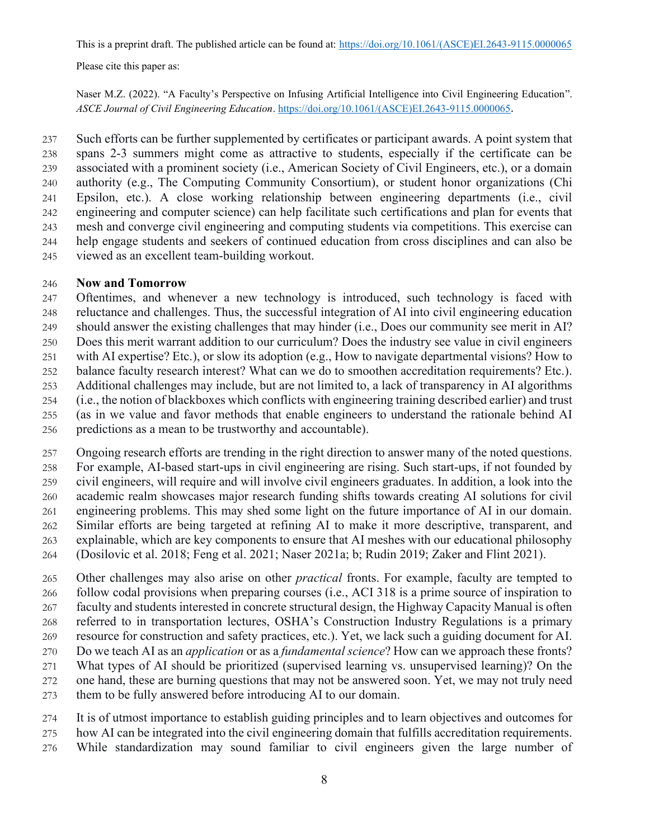Please cite this paper as:

Naser M.Z. (2022). "A Faculty's Perspective on Infusing Artificial Intelligence into Civil Engineering Education". *ASCE Journal of Civil Engineering Education*. [https://doi.org/10.1061/\(ASCE\)EI.2643-9115.0000065](https://doi.org/10.1061/(ASCE)EI.2643-9115.0000065).

 Such efforts can be further supplemented by certificates or participant awards. A point system that spans 2-3 summers might come as attractive to students, especially if the certificate can be associated with a prominent society (i.e., American Society of Civil Engineers, etc.), or a domain authority (e.g., The Computing Community Consortium), or student honor organizations (Chi Epsilon, etc.). A close working relationship between engineering departments (i.e., civil engineering and computer science) can help facilitate such certifications and plan for events that mesh and converge civil engineering and computing students via competitions. This exercise can help engage students and seekers of continued education from cross disciplines and can also be viewed as an excellent team-building workout.

#### **Now and Tomorrow**

 Oftentimes, and whenever a new technology is introduced, such technology is faced with reluctance and challenges. Thus, the successful integration of AI into civil engineering education should answer the existing challenges that may hinder (i.e., Does our community see merit in AI? Does this merit warrant addition to our curriculum? Does the industry see value in civil engineers with AI expertise? Etc.), or slow its adoption (e.g., How to navigate departmental visions? How to balance faculty research interest? What can we do to smoothen accreditation requirements? Etc.). Additional challenges may include, but are not limited to, a lack of transparency in AI algorithms (i.e., the notion of blackboxes which conflicts with engineering training described earlier) and trust (as in we value and favor methods that enable engineers to understand the rationale behind AI

- predictions as a mean to be trustworthy and accountable).
- Ongoing research efforts are trending in the right direction to answer many of the noted questions.
- For example, AI-based start-ups in civil engineering are rising. Such start-ups, if not founded by
- civil engineers, will require and will involve civil engineers graduates. In addition, a look into the
- academic realm showcases major research funding shifts towards creating AI solutions for civil
- engineering problems. This may shed some light on the future importance of AI in our domain. Similar efforts are being targeted at refining AI to make it more descriptive, transparent, and explainable, which are key components to ensure that AI meshes with our educational philosophy
- (Dosilovic et al. 2018; Feng et al. 2021; Naser 2021a; b; Rudin 2019; Zaker and Flint 2021).

 Other challenges may also arise on other *practical* fronts. For example, faculty are tempted to follow codal provisions when preparing courses (i.e., ACI 318 is a prime source of inspiration to faculty and students interested in concrete structural design, the Highway Capacity Manual is often referred to in transportation lectures, OSHA's Construction Industry Regulations is a primary resource for construction and safety practices, etc.). Yet, we lack such a guiding document for AI. Do we teach AI as an *application* or as a *fundamental science*? How can we approach these fronts? What types of AI should be prioritized (supervised learning vs. unsupervised learning)? On the one hand, these are burning questions that may not be answered soon. Yet, we may not truly need

them to be fully answered before introducing AI to our domain.

It is of utmost importance to establish guiding principles and to learn objectives and outcomes for

- how AI can be integrated into the civil engineering domain that fulfills accreditation requirements.
- While standardization may sound familiar to civil engineers given the large number of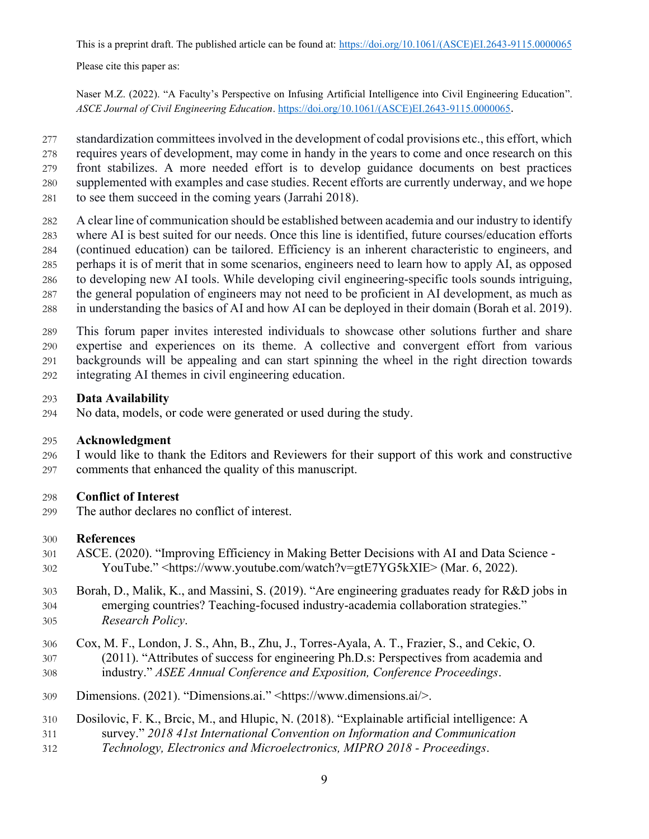Please cite this paper as:

Naser M.Z. (2022). "A Faculty's Perspective on Infusing Artificial Intelligence into Civil Engineering Education". *ASCE Journal of Civil Engineering Education*. [https://doi.org/10.1061/\(ASCE\)EI.2643-9115.0000065](https://doi.org/10.1061/(ASCE)EI.2643-9115.0000065).

- standardization committees involved in the development of codal provisions etc., this effort, which
- requires years of development, may come in handy in the years to come and once research on this
- front stabilizes. A more needed effort is to develop guidance documents on best practices
- supplemented with examples and case studies. Recent efforts are currently underway, and we hope
- to see them succeed in the coming years (Jarrahi 2018).
- A clear line of communication should be established between academia and our industry to identify
- where AI is best suited for our needs. Once this line is identified, future courses/education efforts
- (continued education) can be tailored. Efficiency is an inherent characteristic to engineers, and perhaps it is of merit that in some scenarios, engineers need to learn how to apply AI, as opposed
- to developing new AI tools. While developing civil engineering-specific tools sounds intriguing,
- the general population of engineers may not need to be proficient in AI development, as much as
- in understanding the basics of AI and how AI can be deployed in their domain (Borah et al. 2019).
- This forum paper invites interested individuals to showcase other solutions further and share
- expertise and experiences on its theme. A collective and convergent effort from various
- backgrounds will be appealing and can start spinning the wheel in the right direction towards
- integrating AI themes in civil engineering education.

## **Data Availability**

No data, models, or code were generated or used during the study.

# **Acknowledgment**

 I would like to thank the Editors and Reviewers for their support of this work and constructive comments that enhanced the quality of this manuscript.

# **Conflict of Interest**

The author declares no conflict of interest.

# **References**

- ASCE. (2020). "Improving Efficiency in Making Better Decisions with AI and Data Science YouTube." <https://www.youtube.com/watch?v=gtE7YG5kXIE> (Mar. 6, 2022).
- Borah, D., Malik, K., and Massini, S. (2019). "Are engineering graduates ready for R&D jobs in emerging countries? Teaching-focused industry-academia collaboration strategies." *Research Policy*.
- Cox, M. F., London, J. S., Ahn, B., Zhu, J., Torres-Ayala, A. T., Frazier, S., and Cekic, O. (2011). "Attributes of success for engineering Ph.D.s: Perspectives from academia and industry." *ASEE Annual Conference and Exposition, Conference Proceedings*.
- Dimensions. (2021). "Dimensions.ai." <https://www.dimensions.ai/>.
- Dosilovic, F. K., Brcic, M., and Hlupic, N. (2018). "Explainable artificial intelligence: A
- survey." *2018 41st International Convention on Information and Communication*
- *Technology, Electronics and Microelectronics, MIPRO 2018 - Proceedings*.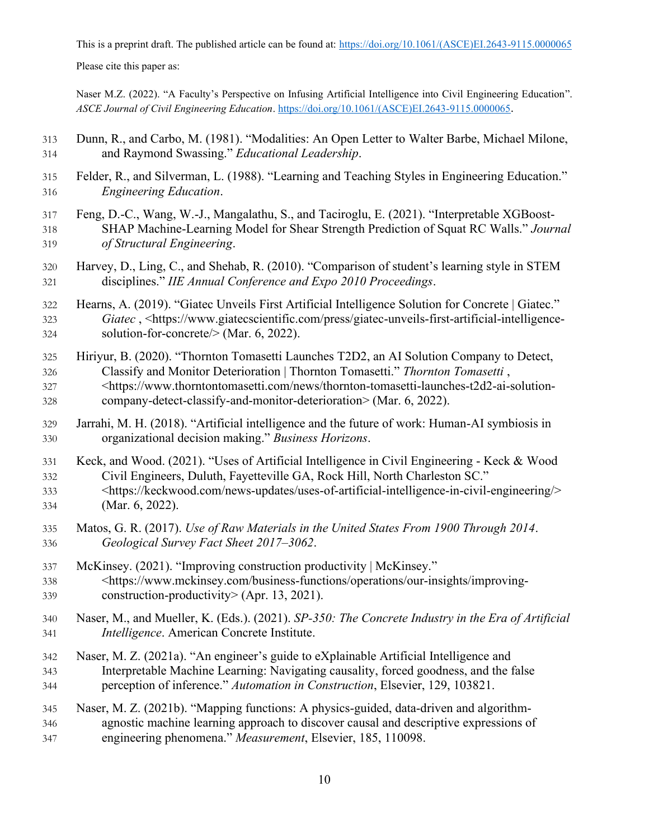Please cite this paper as:

Naser M.Z. (2022). "A Faculty's Perspective on Infusing Artificial Intelligence into Civil Engineering Education". *ASCE Journal of Civil Engineering Education*. [https://doi.org/10.1061/\(ASCE\)EI.2643-9115.0000065](https://doi.org/10.1061/(ASCE)EI.2643-9115.0000065).

- Dunn, R., and Carbo, M. (1981). "Modalities: An Open Letter to Walter Barbe, Michael Milone, and Raymond Swassing." *Educational Leadership*.
- Felder, R., and Silverman, L. (1988). "Learning and Teaching Styles in Engineering Education." *Engineering Education*.
- Feng, D.-C., Wang, W.-J., Mangalathu, S., and Taciroglu, E. (2021). "Interpretable XGBoost- SHAP Machine-Learning Model for Shear Strength Prediction of Squat RC Walls." *Journal of Structural Engineering*.
- Harvey, D., Ling, C., and Shehab, R. (2010). "Comparison of student's learning style in STEM disciplines." *IIE Annual Conference and Expo 2010 Proceedings*.
- Hearns, A. (2019). "Giatec Unveils First Artificial Intelligence Solution for Concrete | Giatec." *Giatec* , <https://www.giatecscientific.com/press/giatec-unveils-first-artificial-intelligence-solution-for-concrete/> (Mar. 6, 2022).
- Hiriyur, B. (2020). "Thornton Tomasetti Launches T2D2, an AI Solution Company to Detect, Classify and Monitor Deterioration | Thornton Tomasetti." *Thornton Tomasetti* , <https://www.thorntontomasetti.com/news/thornton-tomasetti-launches-t2d2-ai-solution-
- company-detect-classify-and-monitor-deterioration> (Mar. 6, 2022).
- Jarrahi, M. H. (2018). "Artificial intelligence and the future of work: Human-AI symbiosis in organizational decision making." *Business Horizons*.
- Keck, and Wood. (2021). "Uses of Artificial Intelligence in Civil Engineering Keck & Wood Civil Engineers, Duluth, Fayetteville GA, Rock Hill, North Charleston SC."
- <https://keckwood.com/news-updates/uses-of-artificial-intelligence-in-civil-engineering/> (Mar. 6, 2022).
- Matos, G. R. (2017). *Use of Raw Materials in the United States From 1900 Through 2014*. *Geological Survey Fact Sheet 2017–3062*.
- McKinsey. (2021). "Improving construction productivity | McKinsey." <https://www.mckinsey.com/business-functions/operations/our-insights/improving-construction-productivity> (Apr. 13, 2021).
- Naser, M., and Mueller, K. (Eds.). (2021). *SP-350: The Concrete Industry in the Era of Artificial Intelligence*. American Concrete Institute.
- Naser, M. Z. (2021a). "An engineer's guide to eXplainable Artificial Intelligence and Interpretable Machine Learning: Navigating causality, forced goodness, and the false perception of inference." *Automation in Construction*, Elsevier, 129, 103821.
- Naser, M. Z. (2021b). "Mapping functions: A physics-guided, data-driven and algorithm- agnostic machine learning approach to discover causal and descriptive expressions of engineering phenomena." *Measurement*, Elsevier, 185, 110098.